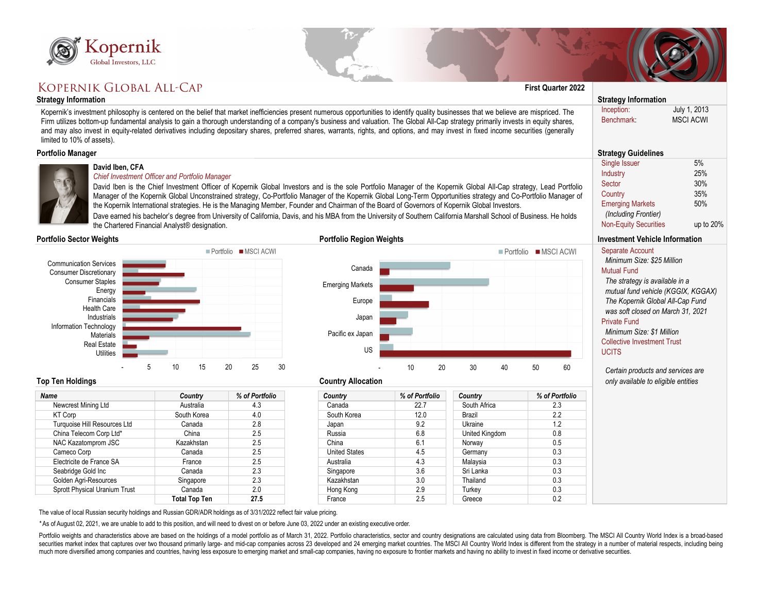

# KOPERNIK GLOBAL ALL-CAP

### **Strategy Information Strategy Information**

| <b>Name</b>                          | Country              | % of Portfolio | <b>Country</b>       |
|--------------------------------------|----------------------|----------------|----------------------|
| Newcrest Mining Ltd                  | Australia            | 4.3            | Canada               |
| <b>KT Corp</b>                       | South Korea          | 4.0            | South Korea          |
| <b>Turquoise Hill Resources Ltd</b>  | Canada               | 2.8            | Japan                |
| China Telecom Corp Ltd*              | China                | 2.5            | Russia               |
| NAC Kazatomprom JSC                  | Kazakhstan           | 2.5            | China                |
| Cameco Corp                          | Canada               | 2.5            | <b>United States</b> |
| Electricite de France SA             | France               | 2.5            | Australia            |
| Seabridge Gold Inc                   | Canada               | 2.3            | Singapore            |
| Golden Agri-Resources                | Singapore            | 2.3            | Kazakhstan           |
| <b>Sprott Physical Uranium Trust</b> | Canada               | 2.0            | Hong Kong            |
|                                      | <b>Total Top Ten</b> | 27.5           | France               |



### **Portfolio Sector Weights**

| Kopernik                                                                                                                                                                                                                                                                                                                                                                                                                                                                                                                                                                                             |                                                                                                        |                     |                                                                                                                                                                                                                                                                                                                                                                                                                                                                                                                                                                                                                                                                |                |                               |                           |                                                                                                                                                                                                                                                                                                                                                                                         |                                                |
|------------------------------------------------------------------------------------------------------------------------------------------------------------------------------------------------------------------------------------------------------------------------------------------------------------------------------------------------------------------------------------------------------------------------------------------------------------------------------------------------------------------------------------------------------------------------------------------------------|--------------------------------------------------------------------------------------------------------|---------------------|----------------------------------------------------------------------------------------------------------------------------------------------------------------------------------------------------------------------------------------------------------------------------------------------------------------------------------------------------------------------------------------------------------------------------------------------------------------------------------------------------------------------------------------------------------------------------------------------------------------------------------------------------------------|----------------|-------------------------------|---------------------------|-----------------------------------------------------------------------------------------------------------------------------------------------------------------------------------------------------------------------------------------------------------------------------------------------------------------------------------------------------------------------------------------|------------------------------------------------|
| Global Investors, LLC                                                                                                                                                                                                                                                                                                                                                                                                                                                                                                                                                                                |                                                                                                        |                     |                                                                                                                                                                                                                                                                                                                                                                                                                                                                                                                                                                                                                                                                |                |                               |                           |                                                                                                                                                                                                                                                                                                                                                                                         |                                                |
| KOPERNIK GLOBAL ALL-CAP                                                                                                                                                                                                                                                                                                                                                                                                                                                                                                                                                                              |                                                                                                        |                     |                                                                                                                                                                                                                                                                                                                                                                                                                                                                                                                                                                                                                                                                |                |                               | <b>First Quarter 2022</b> |                                                                                                                                                                                                                                                                                                                                                                                         |                                                |
| <b>Strategy Information</b>                                                                                                                                                                                                                                                                                                                                                                                                                                                                                                                                                                          |                                                                                                        |                     |                                                                                                                                                                                                                                                                                                                                                                                                                                                                                                                                                                                                                                                                |                |                               |                           | <b>Strategy Information</b>                                                                                                                                                                                                                                                                                                                                                             |                                                |
| Kopernik's investment philosophy is centered on the belief that market inefficiencies present numerous opportunities to identify quality businesses that we believe are mispriced. The<br>Firm utilizes bottom-up fundamental analysis to gain a thorough understanding of a company's business and valuation. The Global All-Cap strategy primarily invests in equity shares,<br>and may also invest in equity-related derivatives including depositary shares, preferred shares, warrants, rights, and options, and may invest in fixed income securities (generally<br>limited to 10% of assets). |                                                                                                        |                     |                                                                                                                                                                                                                                                                                                                                                                                                                                                                                                                                                                                                                                                                |                |                               |                           | Inception:<br>Benchmark:                                                                                                                                                                                                                                                                                                                                                                | July 1, 2013<br><b>MSCI ACWI</b>               |
| <b>Portfolio Manager</b>                                                                                                                                                                                                                                                                                                                                                                                                                                                                                                                                                                             |                                                                                                        |                     |                                                                                                                                                                                                                                                                                                                                                                                                                                                                                                                                                                                                                                                                |                |                               |                           | <b>Strategy Guidelines</b>                                                                                                                                                                                                                                                                                                                                                              |                                                |
| David Iben, CFA                                                                                                                                                                                                                                                                                                                                                                                                                                                                                                                                                                                      | <b>Chief Investment Officer and Portfolio Manager</b><br>the Chartered Financial Analyst® designation. |                     | David Iben is the Chief Investment Officer of Kopernik Global Investors and is the sole Portfolio Manager of the Kopernik Global All-Cap strategy, Lead Portfolio<br>Manager of the Kopernik Global Unconstrained strategy, Co-Portfolio Manager of the Kopernik Global Long-Term Opportunities strategy and Co-Portfolio Manager of<br>the Kopernik International strategies. He is the Managing Member, Founder and Chairman of the Board of Governors of Kopernik Global Investors.<br>Dave earned his bachelor's degree from University of California, Davis, and his MBA from the University of Southern California Marshall School of Business. He holds |                |                               |                           | <b>Single Issuer</b><br>Industry<br>Sector<br>Country<br><b>Emerging Markets</b><br>(Including Frontier)<br><b>Non-Equity Securities</b>                                                                                                                                                                                                                                                | 5%<br>25%<br>30%<br>35%<br>50%<br>up to $20\%$ |
| <b>Portfolio Sector Weights</b>                                                                                                                                                                                                                                                                                                                                                                                                                                                                                                                                                                      |                                                                                                        |                     | <b>Portfolio Region Weights</b>                                                                                                                                                                                                                                                                                                                                                                                                                                                                                                                                                                                                                                |                |                               |                           | <b>Investment Vehicle Information</b>                                                                                                                                                                                                                                                                                                                                                   |                                                |
|                                                                                                                                                                                                                                                                                                                                                                                                                                                                                                                                                                                                      |                                                                                                        | Portfolio MSCI ACWI |                                                                                                                                                                                                                                                                                                                                                                                                                                                                                                                                                                                                                                                                |                |                               | Portfolio MSCI ACWI       | <b>Separate Account</b>                                                                                                                                                                                                                                                                                                                                                                 |                                                |
| <b>Communication Services</b><br><b>Consumer Discretionary</b><br><b>Consumer Staples</b><br>Energy<br>Financials<br><b>Health Care</b><br>Industrials<br><b>Information Technology</b><br><b>Materials</b><br><b>Real Estate</b><br><b>Utilities</b><br>5<br><b>Top Ten Holdings</b>                                                                                                                                                                                                                                                                                                                | 15<br>10                                                                                               | 20<br>25<br>30      | Canada<br><b>Emerging Markets</b><br>Europe<br>Japan<br>Pacific ex Japan<br><b>US</b><br><b>Country Allocation</b>                                                                                                                                                                                                                                                                                                                                                                                                                                                                                                                                             | 10<br>20       | 30 <sup>°</sup><br>40         | 50<br>60                  | Minimum Size: \$25 Million<br><b>Mutual Fund</b><br>The strategy is available in a<br>mutual fund vehicle (KGGIX, KGGAX)<br>The Kopernik Global All-Cap Fund<br>was soft closed on March 31, 2021<br><b>Private Fund</b><br>Minimum Size: \$1 Million<br><b>Collective Investment Trust</b><br><b>UCITS</b><br>Certain products and services are<br>only available to eligible entities |                                                |
|                                                                                                                                                                                                                                                                                                                                                                                                                                                                                                                                                                                                      |                                                                                                        |                     |                                                                                                                                                                                                                                                                                                                                                                                                                                                                                                                                                                                                                                                                |                |                               |                           |                                                                                                                                                                                                                                                                                                                                                                                         |                                                |
| <b>Name</b>                                                                                                                                                                                                                                                                                                                                                                                                                                                                                                                                                                                          | <b>Country</b>                                                                                         | % of Portfolio      | <b>Country</b>                                                                                                                                                                                                                                                                                                                                                                                                                                                                                                                                                                                                                                                 | % of Portfolio | <b>Country</b>                | % of Portfolio            |                                                                                                                                                                                                                                                                                                                                                                                         |                                                |
| Newcrest Mining Ltd<br><b>KT Corp</b>                                                                                                                                                                                                                                                                                                                                                                                                                                                                                                                                                                | Australia<br>South Korea                                                                               | 4.3<br>4.0          | Canada<br>South Korea                                                                                                                                                                                                                                                                                                                                                                                                                                                                                                                                                                                                                                          | 22.7<br>12.0   | South Africa<br><b>Brazil</b> | 2.3<br>2.2                |                                                                                                                                                                                                                                                                                                                                                                                         |                                                |
| Turquoise Hill Resources Ltd                                                                                                                                                                                                                                                                                                                                                                                                                                                                                                                                                                         | Canada                                                                                                 | 2.8                 | Japan                                                                                                                                                                                                                                                                                                                                                                                                                                                                                                                                                                                                                                                          | 9.2            | Ukraine                       | 1.2                       |                                                                                                                                                                                                                                                                                                                                                                                         |                                                |
| China Telecom Corp Ltd*                                                                                                                                                                                                                                                                                                                                                                                                                                                                                                                                                                              | China                                                                                                  | 2.5                 | Russia                                                                                                                                                                                                                                                                                                                                                                                                                                                                                                                                                                                                                                                         | 6.8            | <b>United Kingdom</b>         | 0.8                       |                                                                                                                                                                                                                                                                                                                                                                                         |                                                |
| NAC Kazatomprom JSC                                                                                                                                                                                                                                                                                                                                                                                                                                                                                                                                                                                  | Kazakhstan                                                                                             | 2.5                 | China                                                                                                                                                                                                                                                                                                                                                                                                                                                                                                                                                                                                                                                          | 6.1            | Norway                        | 0.5                       |                                                                                                                                                                                                                                                                                                                                                                                         |                                                |
| Cameco Corp                                                                                                                                                                                                                                                                                                                                                                                                                                                                                                                                                                                          | Canada                                                                                                 | 2.5                 | <b>United States</b>                                                                                                                                                                                                                                                                                                                                                                                                                                                                                                                                                                                                                                           | 4.5            | Germany                       | 0.3                       |                                                                                                                                                                                                                                                                                                                                                                                         |                                                |
| Electricite de France SA                                                                                                                                                                                                                                                                                                                                                                                                                                                                                                                                                                             | France                                                                                                 | 2.5                 | Australia                                                                                                                                                                                                                                                                                                                                                                                                                                                                                                                                                                                                                                                      | 4.3            | Malaysia                      | 0.3                       |                                                                                                                                                                                                                                                                                                                                                                                         |                                                |
| Seabridge Gold Inc                                                                                                                                                                                                                                                                                                                                                                                                                                                                                                                                                                                   | Canada                                                                                                 | 2.3                 | Singapore                                                                                                                                                                                                                                                                                                                                                                                                                                                                                                                                                                                                                                                      | 3.6            | Sri Lanka                     | 0.3                       |                                                                                                                                                                                                                                                                                                                                                                                         |                                                |
| <b>Golden Agri-Resources</b>                                                                                                                                                                                                                                                                                                                                                                                                                                                                                                                                                                         | Singapore                                                                                              | 2.3                 | Kazakhstan                                                                                                                                                                                                                                                                                                                                                                                                                                                                                                                                                                                                                                                     | 3.0            | <b>Thailand</b>               | 0.3                       |                                                                                                                                                                                                                                                                                                                                                                                         |                                                |
| <b>Sprott Physical Uranium Trust</b>                                                                                                                                                                                                                                                                                                                                                                                                                                                                                                                                                                 | Canada                                                                                                 | 2.0                 | Hong Kong                                                                                                                                                                                                                                                                                                                                                                                                                                                                                                                                                                                                                                                      | 2.9            | Turkey                        | 0.3                       |                                                                                                                                                                                                                                                                                                                                                                                         |                                                |
|                                                                                                                                                                                                                                                                                                                                                                                                                                                                                                                                                                                                      | <b>Total Top Ten</b>                                                                                   | 27.5                | France                                                                                                                                                                                                                                                                                                                                                                                                                                                                                                                                                                                                                                                         | 2.5            | Greece                        | 0.2                       |                                                                                                                                                                                                                                                                                                                                                                                         |                                                |
|                                                                                                                                                                                                                                                                                                                                                                                                                                                                                                                                                                                                      |                                                                                                        |                     |                                                                                                                                                                                                                                                                                                                                                                                                                                                                                                                                                                                                                                                                |                |                               |                           |                                                                                                                                                                                                                                                                                                                                                                                         |                                                |

## **David Iben, CFA**

## *Chief Investment Officer and Portfolio Manager*





The value of local Russian security holdings and Russian GDR/ADR holdings as of 3/31/2022 reflect fair value pricing.

*\** As of August 02, 2021, we are unable to add to this position, and will need to divest on or before June 03, 2022 under an existing executive order.

Portfolio weights and characteristics above are based on the holdings of a model portfolio as of March 31, 2022. Portfolio characteristics, sector and country designations are calculated using data from Bloomberg. The MSCI securities market index that captures over two thousand primarily large- and mid-cap companies across 23 developed and 24 emerging market countries. The MSCI All Country World Index is different from the strategy in a numb much more diversified among companies and countries, having less exposure to emerging market and small-cap companies, having no exposure to frontier markets and having no ability to invest in fixed income or derivative sec